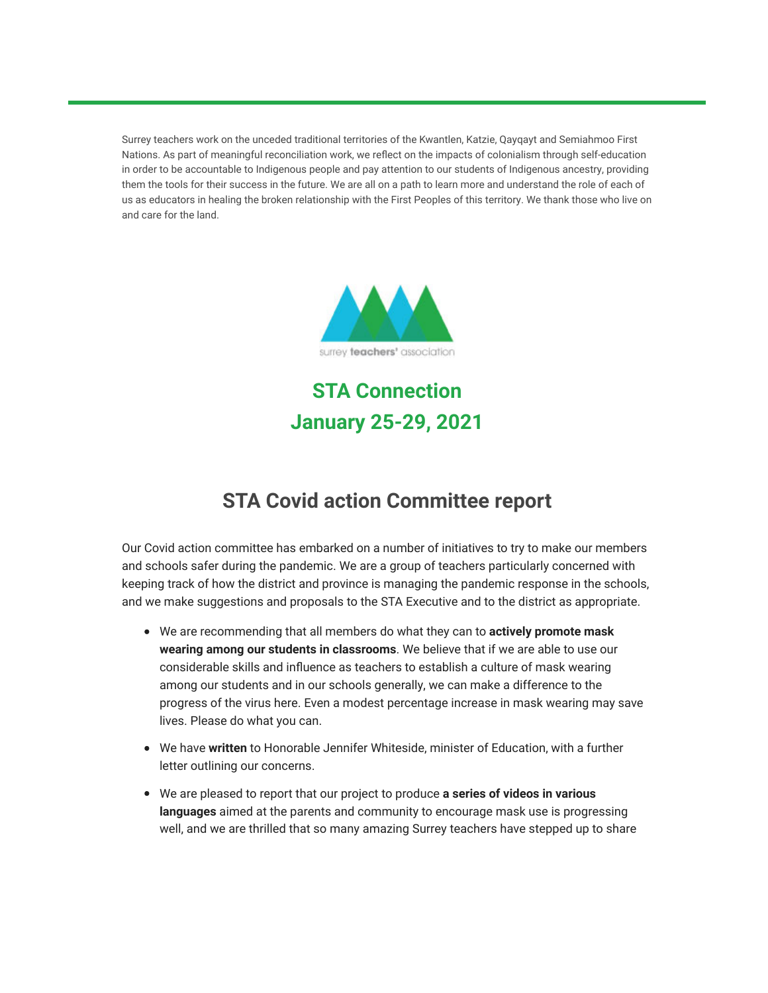Surrey teachers work on the unceded traditional territories of the Kwantlen, Katzie, Qayqayt and Semiahmoo First Nations. As part of meaningful reconciliation work, we reflect on the impacts of colonialism through self-education in order to be accountable to Indigenous people and pay attention to our students of Indigenous ancestry, providing them the tools for their success in the future. We are all on a path to learn more and understand the role of each of us as educators in healing the broken relationship with the First Peoples of this territory. We thank those who live on and care for the land.



**STA Connection January 25-29, 2021**

## **STA Covid action Committee report**

Our Covid action committee has embarked on a number of initiatives to try to make our members and schools safer during the pandemic. We are a group of teachers particularly concerned with keeping track of how the district and province is managing the pandemic response in the schools, and we make suggestions and proposals to the STA Executive and to the district as appropriate.

- We are recommending that all members do what they can to **actively promote mask wearing among our students in classrooms**. We believe that if we are able to use our considerable skills and influence as teachers to establish a culture of mask wearing among our students and in our schools generally, we can make a difference to the progress of the virus here. Even a modest percentage increase in mask wearing may save lives. Please do what you can.
- We have **written** to Honorable Jennifer Whiteside, minister of Education, with a further letter outlining our concerns.
- We are pleased to report that our project to produce **a series of videos in various languages** aimed at the parents and community to encourage mask use is progressing well, and we are thrilled that so many amazing Surrey teachers have stepped up to share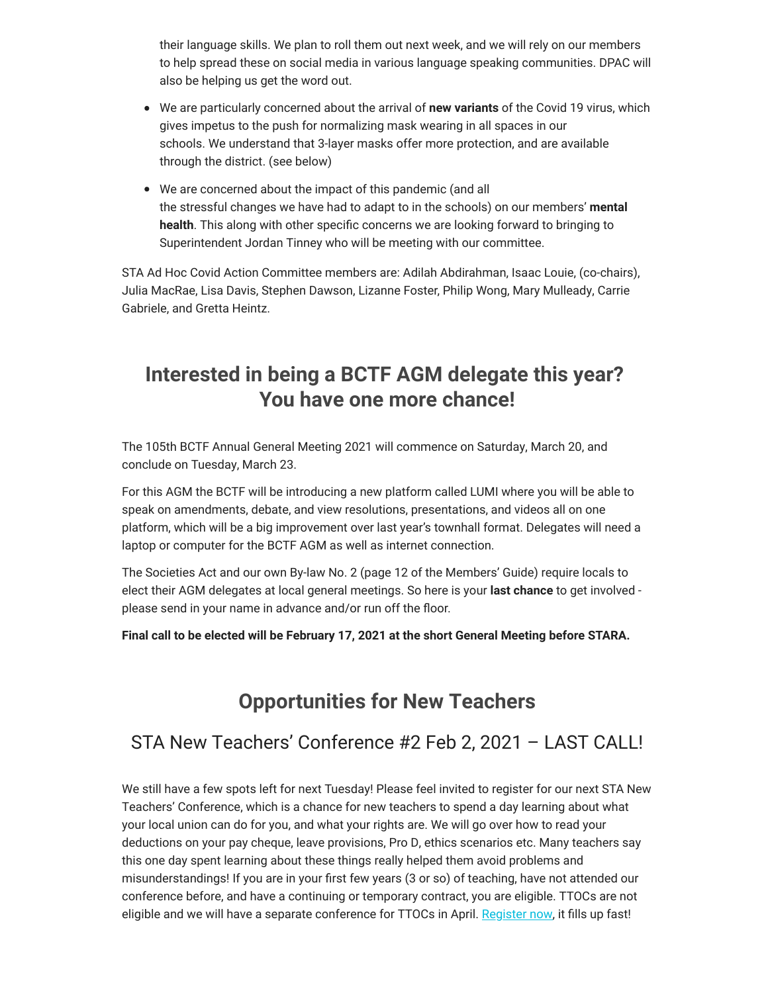their language skills. We plan to roll them out next week, and we will rely on our members to help spread these on social media in various language speaking communities. DPAC will also be helping us get the word out.

- We are particularly concerned about the arrival of **new variants** of the Covid 19 virus, which gives impetus to the push for normalizing mask wearing in all spaces in our schools. We understand that 3-layer masks offer more protection, and are available through the district. (see below)
- We are concerned about the impact of this pandemic (and all the stressful changes we have had to adapt to in the schools) on our members' **mental health**. This along with other specific concerns we are looking forward to bringing to Superintendent Jordan Tinney who will be meeting with our committee.

STA Ad Hoc Covid Action Committee members are: Adilah Abdirahman, Isaac Louie, (co-chairs), Julia MacRae, Lisa Davis, Stephen Dawson, Lizanne Foster, Philip Wong, Mary Mulleady, Carrie Gabriele, and Gretta Heintz.

## **Interested in being a BCTF AGM delegate this year? You have one more chance!**

The 105th BCTF Annual General Meeting 2021 will commence on Saturday, March 20, and conclude on Tuesday, March 23.

For this AGM the BCTF will be introducing a new platform called LUMI where you will be able to speak on amendments, debate, and view resolutions, presentations, and videos all on one platform, which will be a big improvement over last year's townhall format. Delegates will need a laptop or computer for the BCTF AGM as well as internet connection.

The Societies Act and our own By-law No. 2 (page 12 of the Members' Guide) require locals to elect their AGM delegates at local general meetings. So here is your **last chance** to get involved please send in your name in advance and/or run off the floor.

**Final call to be elected will be February 17, 2021 at the short General Meeting before STARA.**

## **Opportunities for New Teachers**

#### STA New Teachers' Conference #2 Feb 2, 2021 – LAST CALL!

We still have a few spots left for next Tuesday! Please feel invited to register for our next STA New Teachers' Conference, which is a chance for new teachers to spend a day learning about what your local union can do for you, and what your rights are. We will go over how to read your deductions on your pay cheque, leave provisions, Pro D, ethics scenarios etc. Many teachers say this one day spent learning about these things really helped them avoid problems and misunderstandings! If you are in your first few years (3 or so) of teaching, have not attended our conference before, and have a continuing or temporary contract, you are eligible. TTOCs are not eligible and we will have a separate conference for TTOCs in April. [Register now,](https://surreyteachers.us20.list-manage.com/track/click?u=37ec644ae87e34b54b3912660&id=b61742e3bf&e=7261da6bdb) it fills up fast!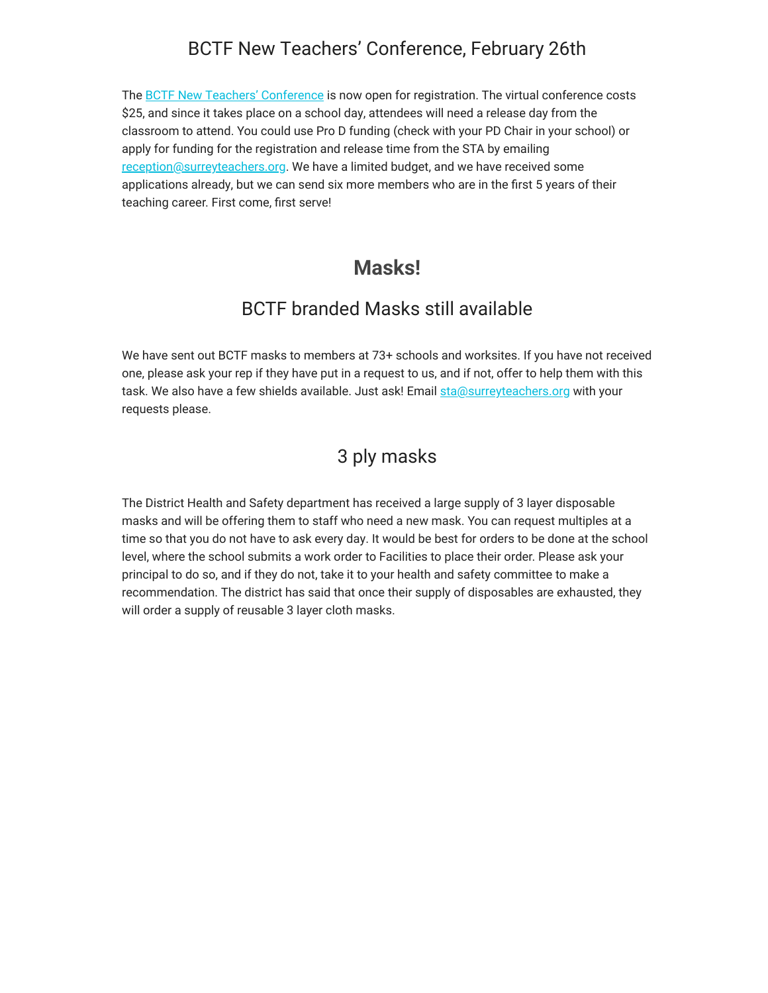#### BCTF New Teachers' Conference, February 26th

The **[BCTF New Teachers' Conference](https://surreyteachers.us20.list-manage.com/track/click?u=37ec644ae87e34b54b3912660&id=0ba4eb6c2b&e=7261da6bdb)** is now open for registration. The virtual conference costs \$25, and since it takes place on a school day, attendees will need a release day from the classroom to attend. You could use Pro D funding (check with your PD Chair in your school) or apply for funding for the registration and release time from the STA by emailing [reception@surreyteachers.org.](mailto:reception@surreyteachers.org) We have a limited budget, and we have received some applications already, but we can send six more members who are in the first 5 years of their teaching career. First come, first serve!

#### **Masks!**

#### BCTF branded Masks still available

We have sent out BCTF masks to members at 73+ schools and worksites. If you have not received one, please ask your rep if they have put in a request to us, and if not, offer to help them with this task. We also have a few shields available. Just ask! Email [sta@surreyteachers.org](mailto:sta@surreyteachers.org) with your requests please.

#### 3 ply masks

The District Health and Safety department has received a large supply of 3 layer disposable masks and will be offering them to staff who need a new mask. You can request multiples at a time so that you do not have to ask every day. It would be best for orders to be done at the school level, where the school submits a work order to Facilities to place their order. Please ask your principal to do so, and if they do not, take it to your health and safety committee to make a recommendation. The district has said that once their supply of disposables are exhausted, they will order a supply of reusable 3 layer cloth masks.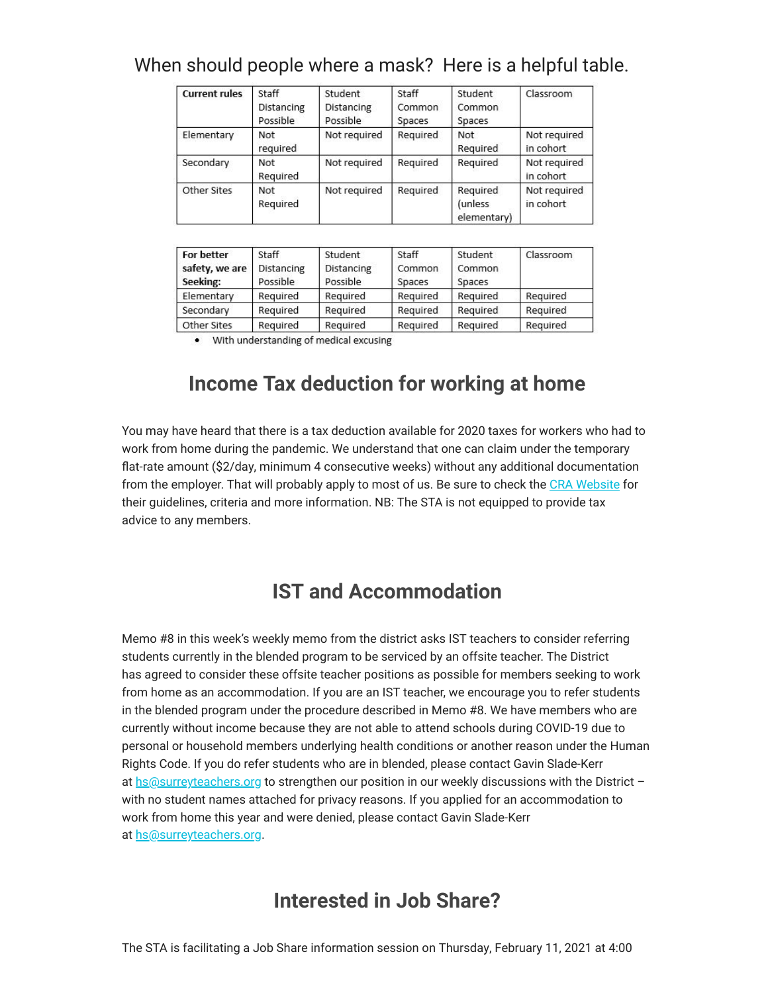#### When should people where a mask? Here is a helpful table.

| <b>Current rules</b> | Staff<br>Distancing<br>Possible | Student<br>Distancing<br>Possible | Staff<br>Common<br>Spaces | Student<br>Common<br>Spaces        | Classroom                 |
|----------------------|---------------------------------|-----------------------------------|---------------------------|------------------------------------|---------------------------|
| Elementary           | Not<br>required                 | Not required                      | Required                  | Not<br>Required                    | Not required<br>in cohort |
| Secondary            | Not<br>Required                 | Not required                      | Required                  | Required                           | Not required<br>in cohort |
| Other Sites          | Not<br>Required                 | Not required                      | Required                  | Required<br>(unless<br>elementary) | Not required<br>in cohort |

| <b>For better</b> | Staff      | Student    | Staff    | Student  | Classroom |
|-------------------|------------|------------|----------|----------|-----------|
| safety, we are    | Distancing | Distancing | Common   | Common   |           |
| Seeking:          | Possible   | Possible   | Spaces   | Spaces   |           |
| Elementary        | Required   | Required   | Required | Required | Required  |
| Secondary         | Required   | Required   | Required | Required | Required  |
| Other Sites       | Required   | Required   | Required | Required | Required  |

• With understanding of medical excusing

# **Income Tax deduction for working at home**

You may have heard that there is a tax deduction available for 2020 taxes for workers who had to work from home during the pandemic. We understand that one can claim under the temporary flat-rate amount (\$2/day, minimum 4 consecutive weeks) without any additional documentation from the employer. That will probably apply to most of us. Be sure to check the [CRA Website](https://surreyteachers.us20.list-manage.com/track/click?u=37ec644ae87e34b54b3912660&id=937a522b05&e=7261da6bdb) for their guidelines, criteria and more information. NB: The STA is not equipped to provide tax advice to any members.

## **IST and Accommodation**

Memo #8 in this week's weekly memo from the district asks IST teachers to consider referring students currently in the blended program to be serviced by an offsite teacher. The District has agreed to consider these offsite teacher positions as possible for members seeking to work from home as an accommodation. If you are an IST teacher, we encourage you to refer students in the blended program under the procedure described in Memo #8. We have members who are currently without income because they are not able to attend schools during COVID-19 due to personal or household members underlying health conditions or another reason under the Human Rights Code. If you do refer students who are in blended, please contact Gavin Slade-Kerr at [hs@surreyteachers.org](mailto:hs@surreyteachers.org) to strengthen our position in our weekly discussions with the District with no student names attached for privacy reasons. If you applied for an accommodation to work from home this year and were denied, please contact Gavin Slade-Kerr at [hs@surreyteachers.org](mailto:hs@surreyteachers.org).

## **Interested in Job Share?**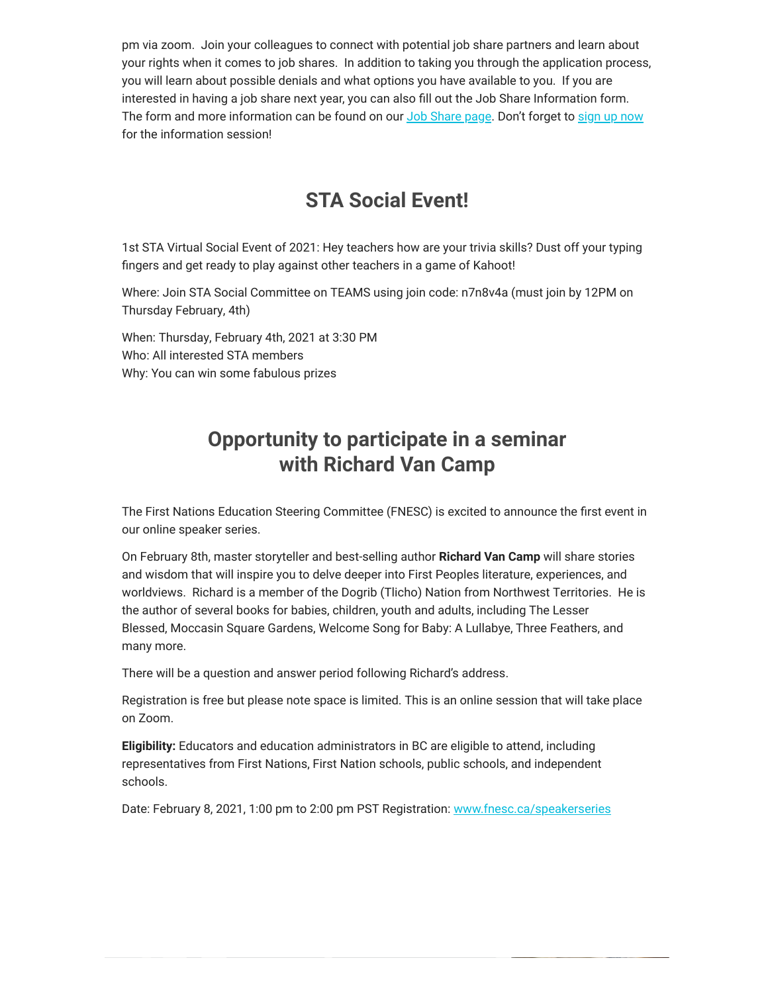pm via zoom. Join your colleagues to connect with potential job share partners and learn about your rights when it comes to job shares. In addition to taking you through the application process, you will learn about possible denials and what options you have available to you. If you are interested in having a job share next year, you can also fill out the Job Share Information form. The form and more information can be found on our [Job Share page.](https://surreyteachers.us20.list-manage.com/track/click?u=37ec644ae87e34b54b3912660&id=ec4596a717&e=7261da6bdb) Don't forget to [sign up now](https://surreyteachers.us20.list-manage.com/track/click?u=37ec644ae87e34b54b3912660&id=57fd079983&e=7261da6bdb) for the information session!

## **STA Social Event!**

1st STA Virtual Social Event of 2021: Hey teachers how are your trivia skills? Dust off your typing fingers and get ready to play against other teachers in a game of Kahoot!

Where: Join STA Social Committee on TEAMS using join code: n7n8v4a (must join by 12PM on Thursday February, 4th)

When: Thursday, February 4th, 2021 at 3:30 PM Who: All interested STA members Why: You can win some fabulous prizes

# **Opportunity to participate in a seminar with Richard Van Camp**

The First Nations Education Steering Committee (FNESC) is excited to announce the first event in our online speaker series.

On February 8th, master storyteller and best-selling author **Richard Van Camp** will share stories and wisdom that will inspire you to delve deeper into First Peoples literature, experiences, and worldviews. Richard is a member of the Dogrib (Tlicho) Nation from Northwest Territories. He is the author of several books for babies, children, youth and adults, including The Lesser Blessed, Moccasin Square Gardens, Welcome Song for Baby: A Lullabye, Three Feathers, and many more.

There will be a question and answer period following Richard's address.

Registration is free but please note space is limited. This is an online session that will take place on Zoom.

**Eligibility:** Educators and education administrators in BC are eligible to attend, including representatives from First Nations, First Nation schools, public schools, and independent schools.

Date: February 8, 2021, 1:00 pm to 2:00 pm PST Registration: [www.fnesc.ca/speakerseries](https://surreyteachers.us20.list-manage.com/track/click?u=37ec644ae87e34b54b3912660&id=599305be20&e=7261da6bdb)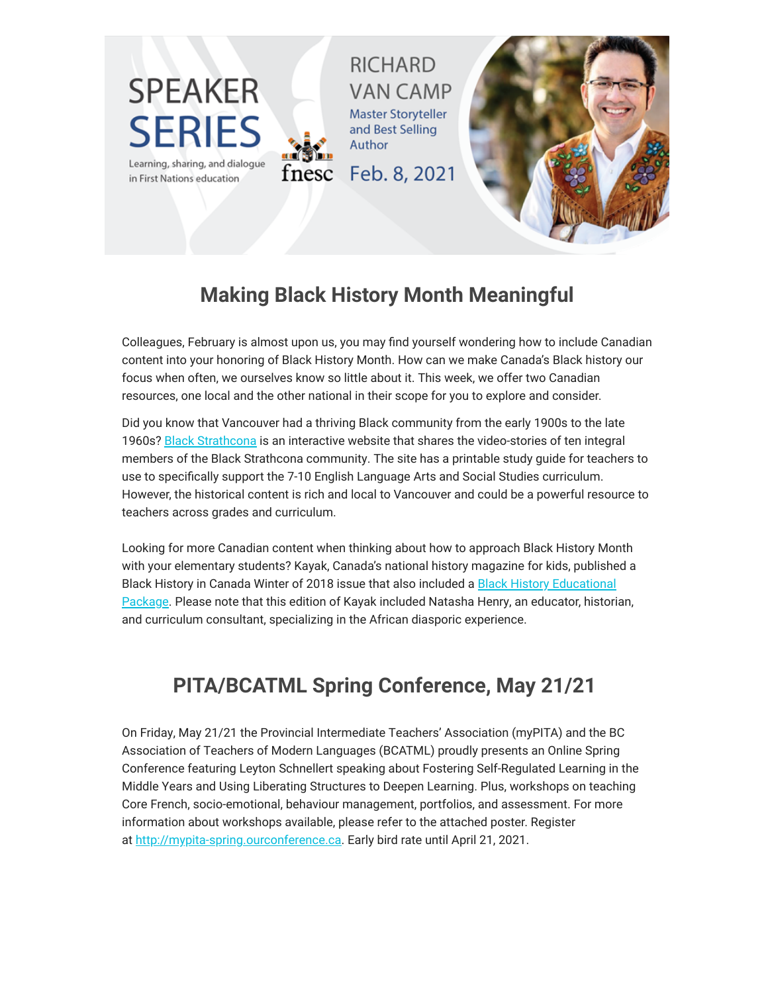

# **Making Black History Month Meaningful**

Colleagues, February is almost upon us, you may find yourself wondering how to include Canadian content into your honoring of Black History Month. How can we make Canada's Black history our focus when often, we ourselves know so little about it. This week, we offer two Canadian resources, one local and the other national in their scope for you to explore and consider.

Did you know that Vancouver had a thriving Black community from the early 1900s to the late 1960s? [Black Strathcona](https://surreyteachers.us20.list-manage.com/track/click?u=37ec644ae87e34b54b3912660&id=b8db446d62&e=7261da6bdb) is an interactive website that shares the video-stories of ten integral members of the Black Strathcona community. The site has a printable study guide for teachers to use to specifically support the 7-10 English Language Arts and Social Studies curriculum. However, the historical content is rich and local to Vancouver and could be a powerful resource to teachers across grades and curriculum.

Looking for more Canadian content when thinking about how to approach Black History Month with your elementary students? Kayak, Canada's national history magazine for kids, published a Black History in Canada Winter of 2018 issue that also included a Black History Educational [Package. Please note that this edition of Kayak included Natasha Henry, an educator, histori](https://surreyteachers.us20.list-manage.com/track/click?u=37ec644ae87e34b54b3912660&id=8d3bafc3aa&e=7261da6bdb)an, and curriculum consultant, specializing in the African diasporic experience.

# **PITA/BCATML Spring Conference, May 21/21**

On Friday, May 21/21 the Provincial Intermediate Teachers' Association (myPITA) and the BC Association of Teachers of Modern Languages (BCATML) proudly presents an Online Spring Conference featuring Leyton Schnellert speaking about Fostering Self-Regulated Learning in the Middle Years and Using Liberating Structures to Deepen Learning. Plus, workshops on teaching Core French, socio-emotional, behaviour management, portfolios, and assessment. For more information about workshops available, please refer to the attached poster. Register at [http://mypita-spring.ourconference.ca](https://surreyteachers.us20.list-manage.com/track/click?u=37ec644ae87e34b54b3912660&id=d4cc8841b7&e=7261da6bdb). Early bird rate until April 21, 2021.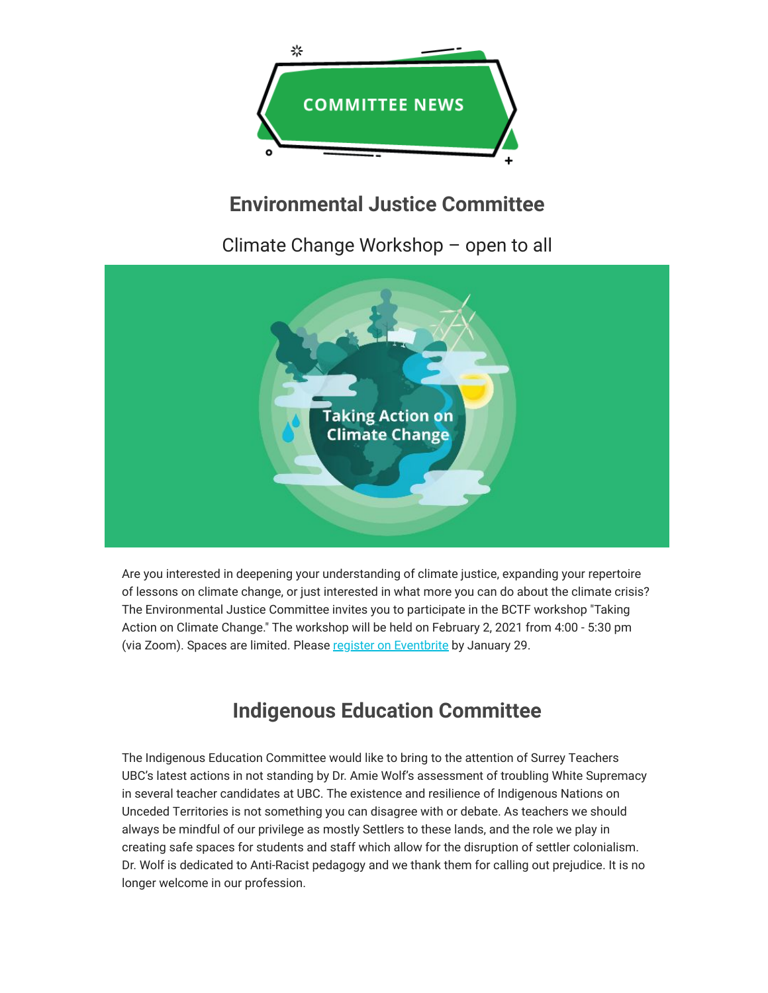

# **Environmental Justice Committee**

Climate Change Workshop – open to all



Are you interested in deepening your understanding of climate justice, expanding your repertoire of lessons on climate change, or just interested in what more you can do about the climate crisis? The Environmental Justice Committee invites you to participate in the BCTF workshop "Taking Action on Climate Change." The workshop will be held on February 2, 2021 from 4:00 - 5:30 pm (via Zoom). Spaces are limited. Please [register on Eventbrite](https://surreyteachers.us20.list-manage.com/track/click?u=37ec644ae87e34b54b3912660&id=14beeacc00&e=7261da6bdb) by January 29.

# **Indigenous Education Committee**

The Indigenous Education Committee would like to bring to the attention of Surrey Teachers UBC's latest actions in not standing by Dr. Amie Wolf's assessment of troubling White Supremacy in several teacher candidates at UBC. The existence and resilience of Indigenous Nations on Unceded Territories is not something you can disagree with or debate. As teachers we should always be mindful of our privilege as mostly Settlers to these lands, and the role we play in creating safe spaces for students and staff which allow for the disruption of settler colonialism. Dr. Wolf is dedicated to Anti-Racist pedagogy and we thank them for calling out prejudice. It is no longer welcome in our profession.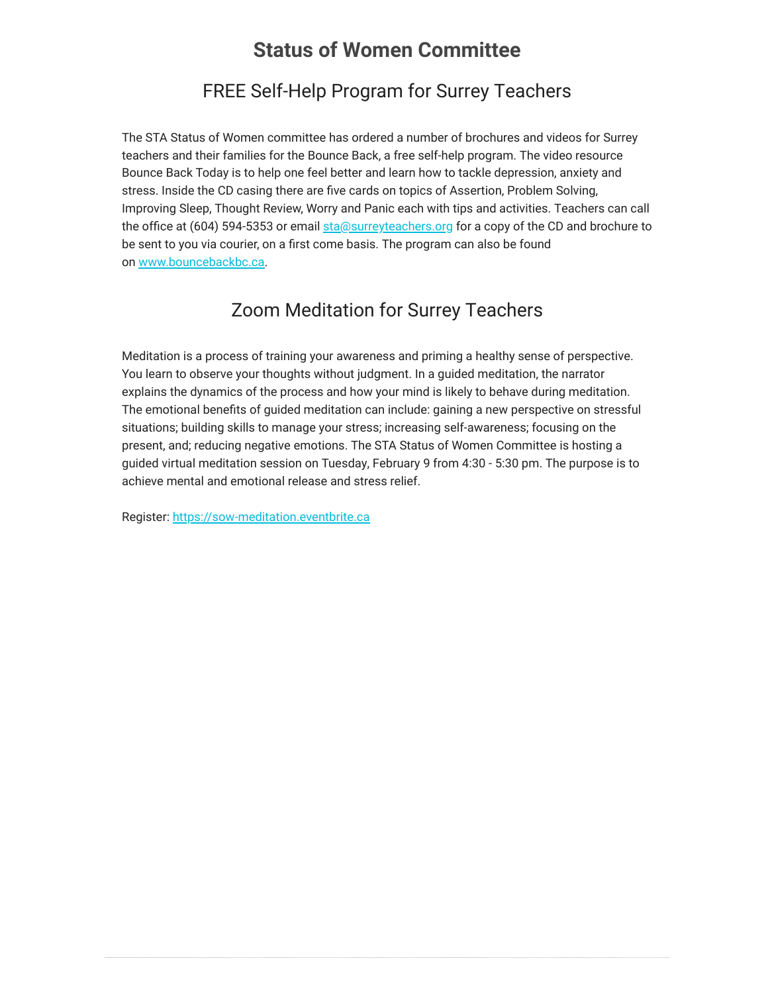#### **Status of Women Committee**

#### FREE Self-Help Program for Surrey Teachers

The STA Status of Women committee has ordered a number of brochures and videos for Surrey teachers and their families for the Bounce Back, a free self-help program. The video resource Bounce Back Today is to help one feel better and learn how to tackle depression, anxiety and stress. Inside the CD casing there are five cards on topics of Assertion, Problem Solving, Improving Sleep, Thought Review, Worry and Panic each with tips and activities. Teachers can call the office at (604) 594-5353 or email [sta@surreyteachers.org](mailto:sta@surreyteachers.org) for a copy of the CD and brochure to be sent to you via courier, on a first come basis. The program can also be found on [www.bouncebackbc.ca.](https://surreyteachers.us20.list-manage.com/track/click?u=37ec644ae87e34b54b3912660&id=fe4db2fc2d&e=7261da6bdb)

#### Zoom Meditation for Surrey Teachers

Meditation is a process of training your awareness and priming a healthy sense of perspective. You learn to observe your thoughts without judgment. In a guided meditation, the narrator explains the dynamics of the process and how your mind is likely to behave during meditation. The emotional benefits of guided meditation can include: gaining a new perspective on stressful situations; building skills to manage your stress; increasing self-awareness; focusing on the present, and; reducing negative emotions. The STA Status of Women Committee is hosting a guided virtual meditation session on Tuesday, February 9 from 4:30 - 5:30 pm. The purpose is to achieve mental and emotional release and stress relief.

Register: [https://sow-meditation.eventbrite.ca](https://surreyteachers.us20.list-manage.com/track/click?u=37ec644ae87e34b54b3912660&id=addd25ee9c&e=7261da6bdb)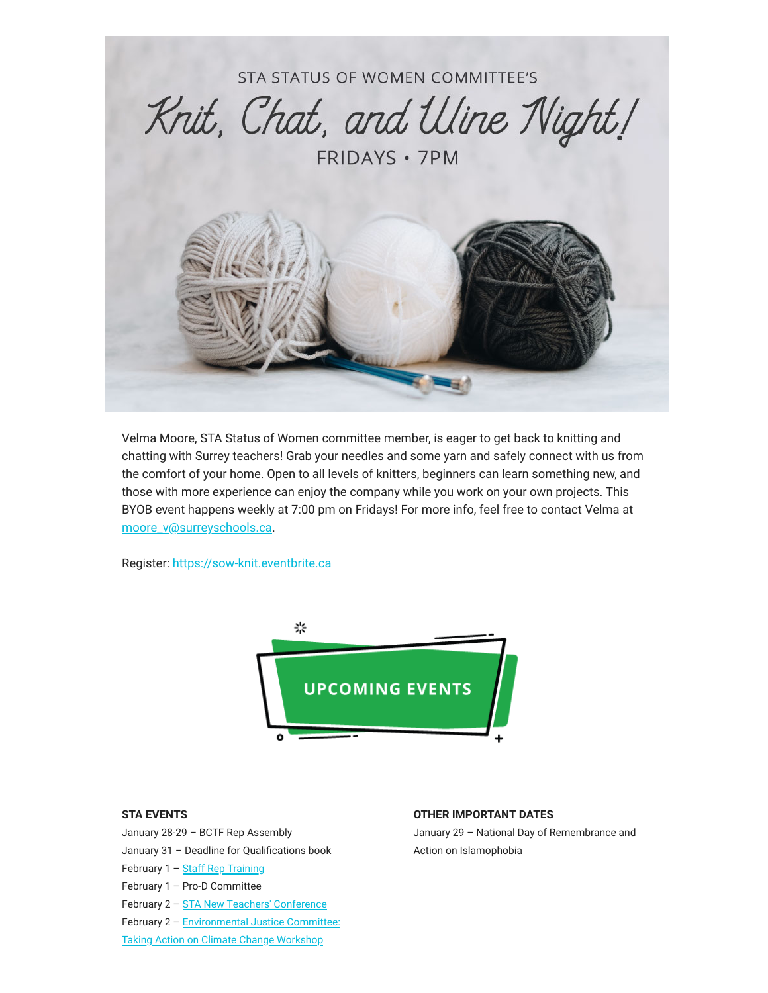

Velma Moore, STA Status of Women committee member, is eager to get back to knitting and chatting with Surrey teachers! Grab your needles and some yarn and safely connect with us from the comfort of your home. Open to all levels of knitters, beginners can learn something new, and those with more experience can enjoy the company while you work on your own projects. This BYOB event happens weekly at 7:00 pm on Fridays! For more info, feel free to contact Velma at [moore\\_v@surreyschools.ca](mailto:moore_v@surreyschools.ca).

Register: [https://sow-knit.eventbrite.ca](https://surreyteachers.us20.list-manage.com/track/click?u=37ec644ae87e34b54b3912660&id=70b249b70b&e=7261da6bdb)



#### **STA EVENTS**

January 28-29 – BCTF Rep Assembly January 31 – Deadline for Qualifications book February 1 - [Staff Rep Training](https://surreyteachers.us20.list-manage.com/track/click?u=37ec644ae87e34b54b3912660&id=def9eb0756&e=7261da6bdb) February 1 – Pro-D Committee February 2 - [STA New Teachers' Conference](https://surreyteachers.us20.list-manage.com/track/click?u=37ec644ae87e34b54b3912660&id=480e4ce667&e=7261da6bdb) February 2 - Environmental Justice Committee: Taking Action on Climate Change Workshop

#### **OTHER IMPORTANT DATES**

January 29 – National Day of Remembrance and Action on Islamophobia